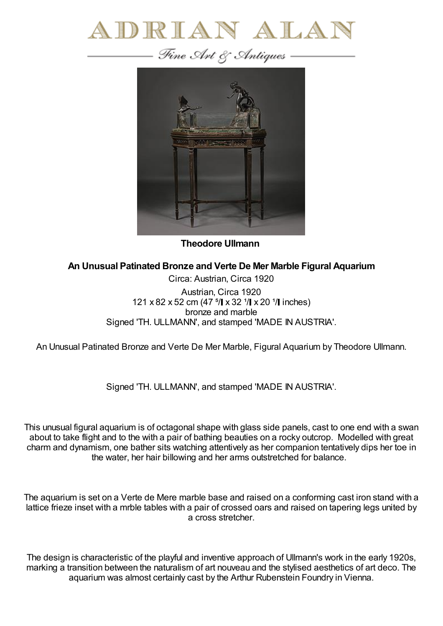



**Theodore Ullmann**

**An Unusual Patinated Bronze and Verte De Mer Marble Figural Aquarium**

Circa: Austrian, Circa 1920 Austrian, Circa 1920 121 x 82 x 52 cm (47  $\frac{5}{1}$  x 32  $\frac{1}{1}$  x 20  $\frac{1}{1}$  inches) bronze and marble Signed 'TH. ULLMANN', and stamped 'MADE IN AUSTRIA'.

An Unusual Patinated Bronze and Verte De Mer Marble, Figural Aquarium by Theodore Ullmann.

Signed 'TH. ULLMANN', and stamped 'MADE IN AUSTRIA'.

This unusual figural aquarium is of octagonal shape with glass side panels, cast to one end with a swan about to take flight and to the with a pair of bathing beauties on a rocky outcrop. Modelled with great charm and dynamism, one bather sits watching attentively as her companion tentatively dips her toe in the water, her hair billowing and her arms outstretched for balance.

The aquarium is set on a Verte de Mere marble base and raised on a conforming cast iron stand with a lattice frieze inset with a mrble tables with a pair of crossed oars and raised on tapering legs united by a cross stretcher.

The design is characteristic of the playful and inventive approach of Ullmann's work in the early 1920s, marking a transition between the naturalism of art nouveau and the stylised aesthetics of art deco. The aquarium was almost certainly cast by the Arthur Rubenstein Foundry in Vienna.